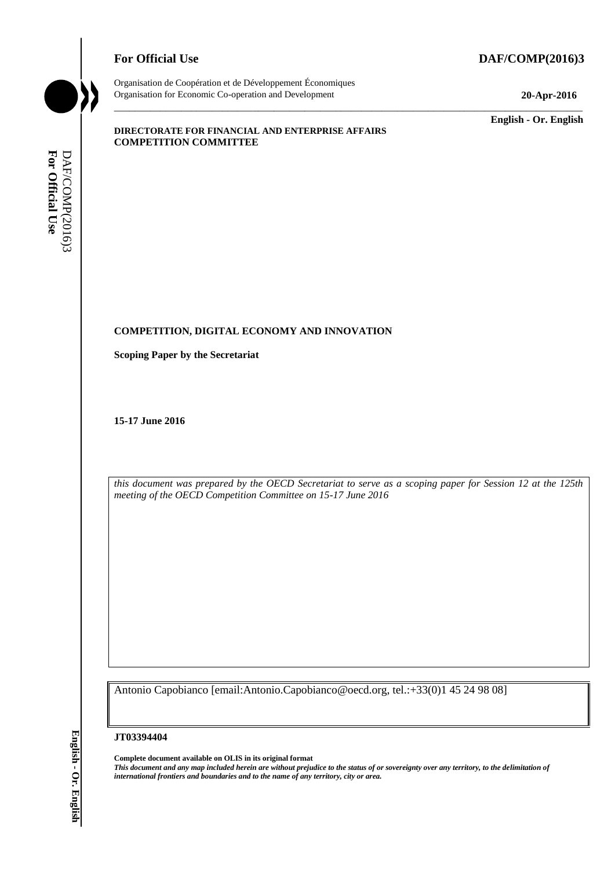# **For Official Use DAF/COMP(2016)3**



Organisation de Coopération et de Développement Économiques Organisation for Economic Co-operation and Development **20-Apr-2016**

\_\_\_\_\_\_\_\_\_\_\_\_\_ **English - Or. English**

#### **DIRECTORATE FOR FINANCIAL AND ENTERPRISE AFFAIRS COMPETITION COMMITTEE**

# **COMPETITION, DIGITAL ECONOMY AND INNOVATION**

**Scoping Paper by the Secretariat**

**15-17 June 2016**

*this document was prepared by the OECD Secretariat to serve as a scoping paper for Session 12 at the 125th meeting of the OECD Competition Committee on 15-17 June 2016*

\_\_\_\_\_\_\_\_\_\_\_\_\_\_\_\_\_\_\_\_\_\_\_\_\_\_\_\_\_\_\_\_\_\_\_\_\_\_\_\_\_\_\_\_\_\_\_\_\_\_\_\_\_\_\_\_\_\_\_\_\_\_\_\_\_\_\_\_\_\_\_\_\_\_\_\_\_\_\_\_\_\_\_\_\_\_\_\_\_\_\_

Antonio Capobianco [email:Antonio.Capobianco@oecd.org, tel.:+33(0)1 45 24 98 08]

#### **JT03394404**

**Complete document available on OLIS in its original format** *This document and any map included herein are without prejudice to the status of or sovereignty over any territory, to the delimitation of*  **iii** Frontiers and boundaries and boundaries and boundaries and both control of any territory, city or area.<br> **For Official User DAF/COMP(2016)**<br> **III** For Official User Of the OECD Competition Committee on 15-17 June 201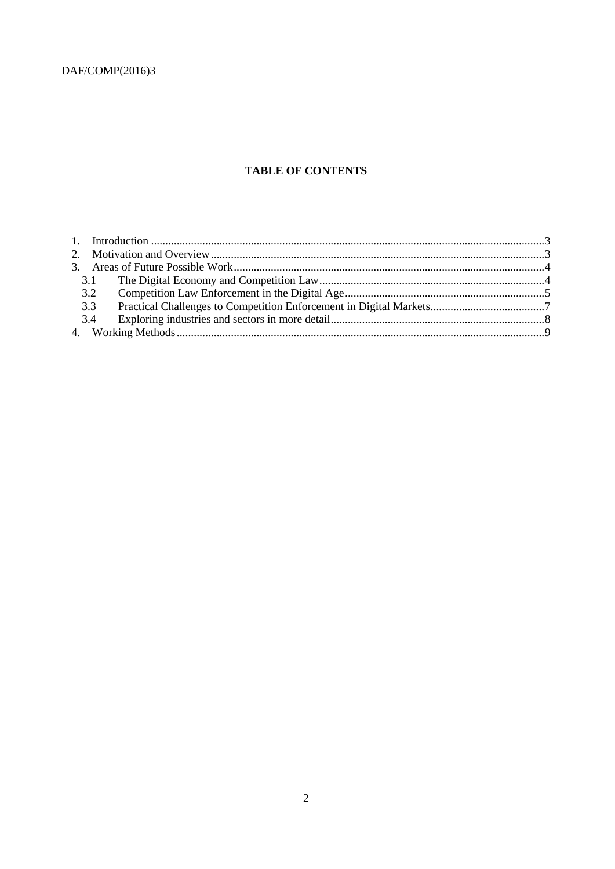# **TABLE OF CONTENTS**

| 3.3 |  |
|-----|--|
| 3.4 |  |
|     |  |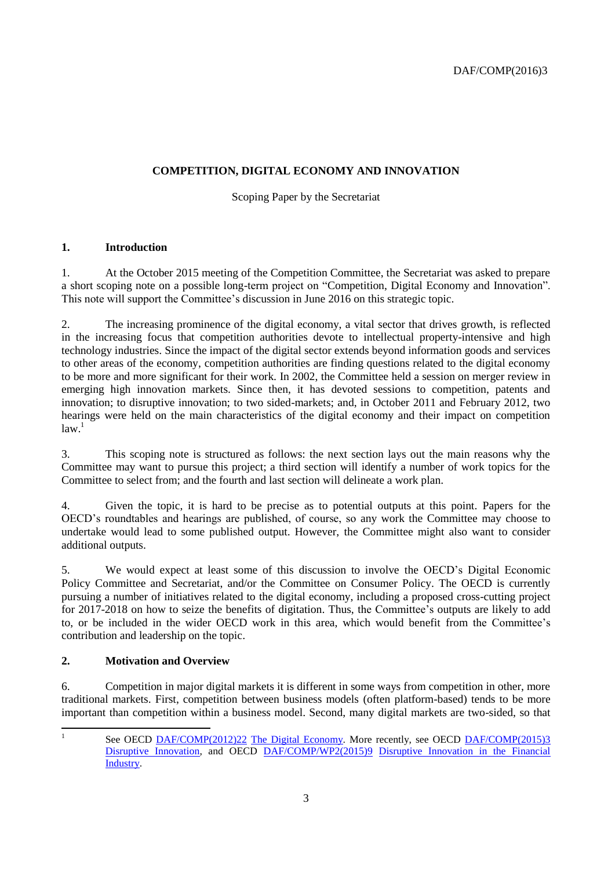# **COMPETITION, DIGITAL ECONOMY AND INNOVATION**

Scoping Paper by the Secretariat

# <span id="page-2-0"></span>**1. Introduction**

1. At the October 2015 meeting of the Competition Committee, the Secretariat was asked to prepare a short scoping note on a possible long-term project on "Competition, Digital Economy and Innovation". This note will support the Committee's discussion in June 2016 on this strategic topic.

2. The increasing prominence of the digital economy, a vital sector that drives growth, is reflected in the increasing focus that competition authorities devote to intellectual property-intensive and high technology industries. Since the impact of the digital sector extends beyond information goods and services to other areas of the economy, competition authorities are finding questions related to the digital economy to be more and more significant for their work. In 2002, the Committee held a session on merger review in emerging high innovation markets. Since then, it has devoted sessions to competition, patents and innovation; to disruptive innovation; to two sided-markets; and, in October 2011 and February 2012, two hearings were held on the main characteristics of the digital economy and their impact on competition law. 1

3. This scoping note is structured as follows: the next section lays out the main reasons why the Committee may want to pursue this project; a third section will identify a number of work topics for the Committee to select from; and the fourth and last section will delineate a work plan.

4. Given the topic, it is hard to be precise as to potential outputs at this point. Papers for the OECD's roundtables and hearings are published, of course, so any work the Committee may choose to undertake would lead to some published output. However, the Committee might also want to consider additional outputs.

5. We would expect at least some of this discussion to involve the OECD's Digital Economic Policy Committee and Secretariat, and/or the Committee on Consumer Policy. The OECD is currently pursuing a number of initiatives related to the digital economy, including a proposed cross-cutting project for 2017-2018 on how to seize the benefits of digitation. Thus, the Committee's outputs are likely to add to, or be included in the wider OECD work in this area, which would benefit from the Committee's contribution and leadership on the topic.

# <span id="page-2-1"></span>**2. Motivation and Overview**

6. Competition in major digital markets it is different in some ways from competition in other, more traditional markets. First, competition between business models (often platform-based) tends to be more important than competition within a business model. Second, many digital markets are two-sided, so that

|<br>|<br>|

See OECD [DAF/COMP\(2012\)22](http://www2.oecd.org/oecdinfo/info.aspx?app=OLIScoteEN&Ref=DAF/COMP(2012)22) [The Digital Economy.](http://www.google.com/search?q=The-Digital-Economy-2012.pdf&sourceid=ie7&rls=com.microsoft:en-US:IE-Address&ie=&oe=) More recently, see OECD [DAF/COMP\(2015\)3](http://www2.oecd.org/oecdinfo/info.aspx?app=OLIScoteEN&Ref=DAF/COMP(2015)3) [Disruptive Innovation,](http://www.google.com/search?q=The-Digital-Economy-2012.pdf&sourceid=ie7&rls=com.microsoft:en-US:IE-Address&ie=&oe=) and OECD [DAF/COMP/WP2\(2015\)9](http://www2.oecd.org/oecdinfo/info.aspx?app=OLIScoteEN&Ref=DAF/COMP/WP2(2015)9) Disruptive Innovation in the Financial [Industry.](http://www.oecd.org/officialdocuments/publicdisplaydocumentpdf/?cote=DAF/COMP/WP2(2015)9&doclanguage=en)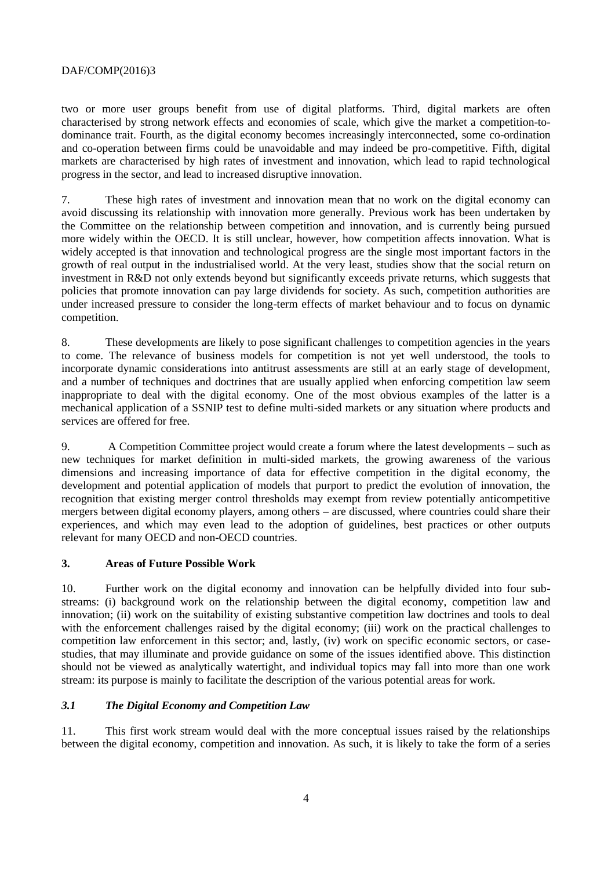two or more user groups benefit from use of digital platforms. Third, digital markets are often characterised by strong network effects and economies of scale, which give the market a competition-todominance trait. Fourth, as the digital economy becomes increasingly interconnected, some co-ordination and co-operation between firms could be unavoidable and may indeed be pro-competitive. Fifth, digital markets are characterised by high rates of investment and innovation, which lead to rapid technological progress in the sector, and lead to increased disruptive innovation.

7. These high rates of investment and innovation mean that no work on the digital economy can avoid discussing its relationship with innovation more generally. Previous work has been undertaken by the Committee on the relationship between competition and innovation, and is currently being pursued more widely within the OECD. It is still unclear, however, how competition affects innovation. What is widely accepted is that innovation and technological progress are the single most important factors in the growth of real output in the industrialised world. At the very least, studies show that the social return on investment in R&D not only extends beyond but significantly exceeds private returns, which suggests that policies that promote innovation can pay large dividends for society. As such, competition authorities are under increased pressure to consider the long-term effects of market behaviour and to focus on dynamic competition.

8. These developments are likely to pose significant challenges to competition agencies in the years to come. The relevance of business models for competition is not yet well understood, the tools to incorporate dynamic considerations into antitrust assessments are still at an early stage of development, and a number of techniques and doctrines that are usually applied when enforcing competition law seem inappropriate to deal with the digital economy. One of the most obvious examples of the latter is a mechanical application of a SSNIP test to define multi-sided markets or any situation where products and services are offered for free.

9. A Competition Committee project would create a forum where the latest developments – such as new techniques for market definition in multi-sided markets, the growing awareness of the various dimensions and increasing importance of data for effective competition in the digital economy, the development and potential application of models that purport to predict the evolution of innovation, the recognition that existing merger control thresholds may exempt from review potentially anticompetitive mergers between digital economy players, among others – are discussed, where countries could share their experiences, and which may even lead to the adoption of guidelines, best practices or other outputs relevant for many OECD and non-OECD countries.

### <span id="page-3-0"></span>**3. Areas of Future Possible Work**

10. Further work on the digital economy and innovation can be helpfully divided into four substreams: (i) background work on the relationship between the digital economy, competition law and innovation; (ii) work on the suitability of existing substantive competition law doctrines and tools to deal with the enforcement challenges raised by the digital economy; (iii) work on the practical challenges to competition law enforcement in this sector; and, lastly, (iv) work on specific economic sectors, or casestudies, that may illuminate and provide guidance on some of the issues identified above. This distinction should not be viewed as analytically watertight, and individual topics may fall into more than one work stream: its purpose is mainly to facilitate the description of the various potential areas for work.

## <span id="page-3-1"></span>*3.1 The Digital Economy and Competition Law*

11. This first work stream would deal with the more conceptual issues raised by the relationships between the digital economy, competition and innovation. As such, it is likely to take the form of a series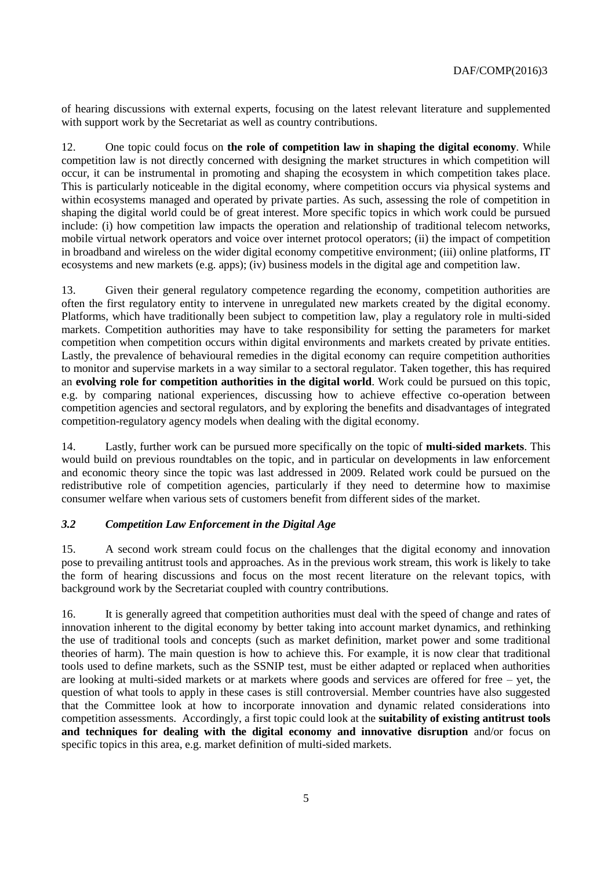of hearing discussions with external experts, focusing on the latest relevant literature and supplemented with support work by the Secretariat as well as country contributions.

12. One topic could focus on **the role of competition law in shaping the digital economy**. While competition law is not directly concerned with designing the market structures in which competition will occur, it can be instrumental in promoting and shaping the ecosystem in which competition takes place. This is particularly noticeable in the digital economy, where competition occurs via physical systems and within ecosystems managed and operated by private parties. As such, assessing the role of competition in shaping the digital world could be of great interest. More specific topics in which work could be pursued include: (i) how competition law impacts the operation and relationship of traditional telecom networks, mobile virtual network operators and voice over internet protocol operators; (ii) the impact of competition in broadband and wireless on the wider digital economy competitive environment; (iii) online platforms, IT ecosystems and new markets (e.g. apps); (iv) business models in the digital age and competition law.

13. Given their general regulatory competence regarding the economy, competition authorities are often the first regulatory entity to intervene in unregulated new markets created by the digital economy. Platforms, which have traditionally been subject to competition law, play a regulatory role in multi-sided markets. Competition authorities may have to take responsibility for setting the parameters for market competition when competition occurs within digital environments and markets created by private entities. Lastly, the prevalence of behavioural remedies in the digital economy can require competition authorities to monitor and supervise markets in a way similar to a sectoral regulator. Taken together, this has required an **evolving role for competition authorities in the digital world**. Work could be pursued on this topic, e.g. by comparing national experiences, discussing how to achieve effective co-operation between competition agencies and sectoral regulators, and by exploring the benefits and disadvantages of integrated competition-regulatory agency models when dealing with the digital economy.

14. Lastly, further work can be pursued more specifically on the topic of **multi-sided markets**. This would build on previous roundtables on the topic, and in particular on developments in law enforcement and economic theory since the topic was last addressed in 2009. Related work could be pursued on the redistributive role of competition agencies, particularly if they need to determine how to maximise consumer welfare when various sets of customers benefit from different sides of the market.

## <span id="page-4-0"></span>*3.2 Competition Law Enforcement in the Digital Age*

15. A second work stream could focus on the challenges that the digital economy and innovation pose to prevailing antitrust tools and approaches. As in the previous work stream, this work is likely to take the form of hearing discussions and focus on the most recent literature on the relevant topics, with background work by the Secretariat coupled with country contributions.

16. It is generally agreed that competition authorities must deal with the speed of change and rates of innovation inherent to the digital economy by better taking into account market dynamics, and rethinking the use of traditional tools and concepts (such as market definition, market power and some traditional theories of harm). The main question is how to achieve this. For example, it is now clear that traditional tools used to define markets, such as the SSNIP test, must be either adapted or replaced when authorities are looking at multi-sided markets or at markets where goods and services are offered for free – yet, the question of what tools to apply in these cases is still controversial. Member countries have also suggested that the Committee look at how to incorporate innovation and dynamic related considerations into competition assessments. Accordingly, a first topic could look at the **suitability of existing antitrust tools and techniques for dealing with the digital economy and innovative disruption** and/or focus on specific topics in this area, e.g. market definition of multi-sided markets.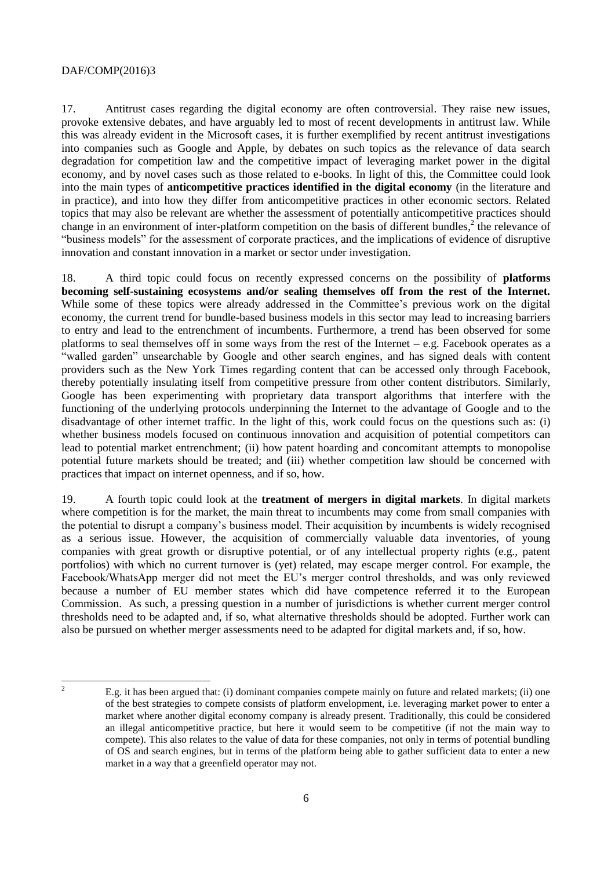17. Antitrust cases regarding the digital economy are often controversial. They raise new issues, provoke extensive debates, and have arguably led to most of recent developments in antitrust law. While this was already evident in the Microsoft cases, it is further exemplified by recent antitrust investigations into companies such as Google and Apple, by debates on such topics as the relevance of data search degradation for competition law and the competitive impact of leveraging market power in the digital economy, and by novel cases such as those related to e-books. In light of this, the Committee could look into the main types of **anticompetitive practices identified in the digital economy** (in the literature and in practice), and into how they differ from anticompetitive practices in other economic sectors. Related topics that may also be relevant are whether the assessment of potentially anticompetitive practices should change in an environment of inter-platform competition on the basis of different bundles, $2$  the relevance of "business models" for the assessment of corporate practices, and the implications of evidence of disruptive innovation and constant innovation in a market or sector under investigation.

18. A third topic could focus on recently expressed concerns on the possibility of **platforms becoming self-sustaining ecosystems and/or sealing themselves off from the rest of the Internet.** While some of these topics were already addressed in the Committee's previous work on the digital economy, the current trend for bundle-based business models in this sector may lead to increasing barriers to entry and lead to the entrenchment of incumbents. Furthermore, a trend has been observed for some platforms to seal themselves off in some ways from the rest of the Internet – e.g. Facebook operates as a "walled garden" unsearchable by Google and other search engines, and has signed deals with content providers such as the New York Times regarding content that can be accessed only through Facebook, thereby potentially insulating itself from competitive pressure from other content distributors. Similarly, Google has been experimenting with proprietary data transport algorithms that interfere with the functioning of the underlying protocols underpinning the Internet to the advantage of Google and to the disadvantage of other internet traffic. In the light of this, work could focus on the questions such as: (i) whether business models focused on continuous innovation and acquisition of potential competitors can lead to potential market entrenchment; (ii) how patent hoarding and concomitant attempts to monopolise potential future markets should be treated; and (iii) whether competition law should be concerned with practices that impact on internet openness, and if so, how.

19. A fourth topic could look at the **treatment of mergers in digital markets**. In digital markets where competition is for the market, the main threat to incumbents may come from small companies with the potential to disrupt a company's business model. Their acquisition by incumbents is widely recognised as a serious issue. However, the acquisition of commercially valuable data inventories, of young companies with great growth or disruptive potential, or of any intellectual property rights (e.g., patent portfolios) with which no current turnover is (yet) related, may escape merger control. For example, the Facebook/WhatsApp merger did not meet the EU's merger control thresholds, and was only reviewed because a number of EU member states which did have competence referred it to the European Commission. As such, a pressing question in a number of jurisdictions is whether current merger control thresholds need to be adapted and, if so, what alternative thresholds should be adopted. Further work can also be pursued on whether merger assessments need to be adapted for digital markets and, if so, how.

 $\overline{c}$ 

<sup>2</sup> E.g. it has been argued that: (i) dominant companies compete mainly on future and related markets; (ii) one of the best strategies to compete consists of platform envelopment, i.e. leveraging market power to enter a market where another digital economy company is already present. Traditionally, this could be considered an illegal anticompetitive practice, but here it would seem to be competitive (if not the main way to compete). This also relates to the value of data for these companies, not only in terms of potential bundling of OS and search engines, but in terms of the platform being able to gather sufficient data to enter a new market in a way that a greenfield operator may not.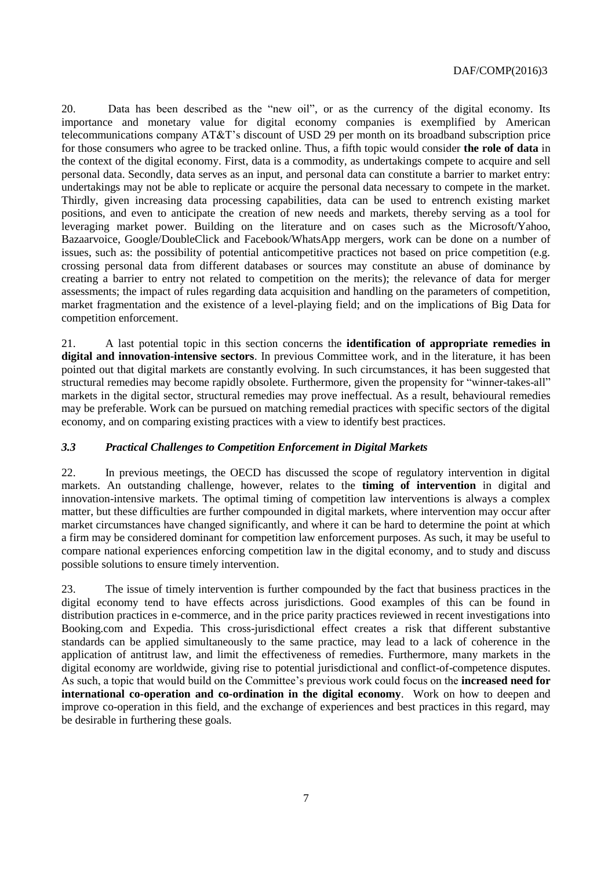20. Data has been described as the "new oil", or as the currency of the digital economy. Its importance and monetary value for digital economy companies is exemplified by American telecommunications company AT&T's discount of USD 29 per month on its broadband subscription price for those consumers who agree to be tracked online. Thus, a fifth topic would consider **the role of data** in the context of the digital economy. First, data is a commodity, as undertakings compete to acquire and sell personal data. Secondly, data serves as an input, and personal data can constitute a barrier to market entry: undertakings may not be able to replicate or acquire the personal data necessary to compete in the market. Thirdly, given increasing data processing capabilities, data can be used to entrench existing market positions, and even to anticipate the creation of new needs and markets, thereby serving as a tool for leveraging market power. Building on the literature and on cases such as the Microsoft/Yahoo, Bazaarvoice, Google/DoubleClick and Facebook/WhatsApp mergers, work can be done on a number of issues, such as: the possibility of potential anticompetitive practices not based on price competition (e.g. crossing personal data from different databases or sources may constitute an abuse of dominance by creating a barrier to entry not related to competition on the merits); the relevance of data for merger assessments; the impact of rules regarding data acquisition and handling on the parameters of competition, market fragmentation and the existence of a level-playing field; and on the implications of Big Data for competition enforcement.

21. A last potential topic in this section concerns the **identification of appropriate remedies in digital and innovation-intensive sectors**. In previous Committee work, and in the literature, it has been pointed out that digital markets are constantly evolving. In such circumstances, it has been suggested that structural remedies may become rapidly obsolete. Furthermore, given the propensity for "winner-takes-all" markets in the digital sector, structural remedies may prove ineffectual. As a result, behavioural remedies may be preferable. Work can be pursued on matching remedial practices with specific sectors of the digital economy, and on comparing existing practices with a view to identify best practices.

### <span id="page-6-0"></span>*3.3 Practical Challenges to Competition Enforcement in Digital Markets*

22. In previous meetings, the OECD has discussed the scope of regulatory intervention in digital markets. An outstanding challenge, however, relates to the **timing of intervention** in digital and innovation-intensive markets. The optimal timing of competition law interventions is always a complex matter, but these difficulties are further compounded in digital markets, where intervention may occur after market circumstances have changed significantly, and where it can be hard to determine the point at which a firm may be considered dominant for competition law enforcement purposes. As such, it may be useful to compare national experiences enforcing competition law in the digital economy, and to study and discuss possible solutions to ensure timely intervention.

23. The issue of timely intervention is further compounded by the fact that business practices in the digital economy tend to have effects across jurisdictions. Good examples of this can be found in distribution practices in e-commerce, and in the price parity practices reviewed in recent investigations into Booking.com and Expedia. This cross-jurisdictional effect creates a risk that different substantive standards can be applied simultaneously to the same practice, may lead to a lack of coherence in the application of antitrust law, and limit the effectiveness of remedies. Furthermore, many markets in the digital economy are worldwide, giving rise to potential jurisdictional and conflict-of-competence disputes. As such, a topic that would build on the Committee's previous work could focus on the **increased need for international co-operation and co-ordination in the digital economy**. Work on how to deepen and improve co-operation in this field, and the exchange of experiences and best practices in this regard, may be desirable in furthering these goals.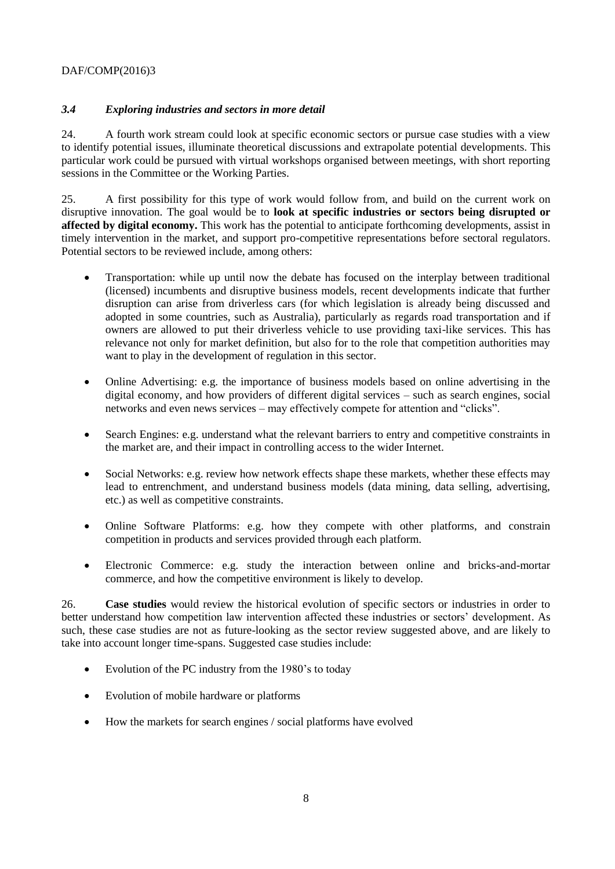## <span id="page-7-0"></span>*3.4 Exploring industries and sectors in more detail*

24. A fourth work stream could look at specific economic sectors or pursue case studies with a view to identify potential issues, illuminate theoretical discussions and extrapolate potential developments. This particular work could be pursued with virtual workshops organised between meetings, with short reporting sessions in the Committee or the Working Parties.

25. A first possibility for this type of work would follow from, and build on the current work on disruptive innovation. The goal would be to **look at specific industries or sectors being disrupted or affected by digital economy.** This work has the potential to anticipate forthcoming developments, assist in timely intervention in the market, and support pro-competitive representations before sectoral regulators. Potential sectors to be reviewed include, among others:

- Transportation: while up until now the debate has focused on the interplay between traditional (licensed) incumbents and disruptive business models, recent developments indicate that further disruption can arise from driverless cars (for which legislation is already being discussed and adopted in some countries, such as Australia), particularly as regards road transportation and if owners are allowed to put their driverless vehicle to use providing taxi-like services. This has relevance not only for market definition, but also for to the role that competition authorities may want to play in the development of regulation in this sector.
- Online Advertising: e.g. the importance of business models based on online advertising in the digital economy, and how providers of different digital services – such as search engines, social networks and even news services – may effectively compete for attention and "clicks".
- Search Engines: e.g. understand what the relevant barriers to entry and competitive constraints in the market are, and their impact in controlling access to the wider Internet.
- Social Networks: e.g. review how network effects shape these markets, whether these effects may lead to entrenchment, and understand business models (data mining, data selling, advertising, etc.) as well as competitive constraints.
- Online Software Platforms: e.g. how they compete with other platforms, and constrain competition in products and services provided through each platform.
- Electronic Commerce: e.g. study the interaction between online and bricks-and-mortar commerce, and how the competitive environment is likely to develop.

26. **Case studies** would review the historical evolution of specific sectors or industries in order to better understand how competition law intervention affected these industries or sectors' development. As such, these case studies are not as future-looking as the sector review suggested above, and are likely to take into account longer time-spans. Suggested case studies include:

- Evolution of the PC industry from the 1980's to today
- Evolution of mobile hardware or platforms
- How the markets for search engines / social platforms have evolved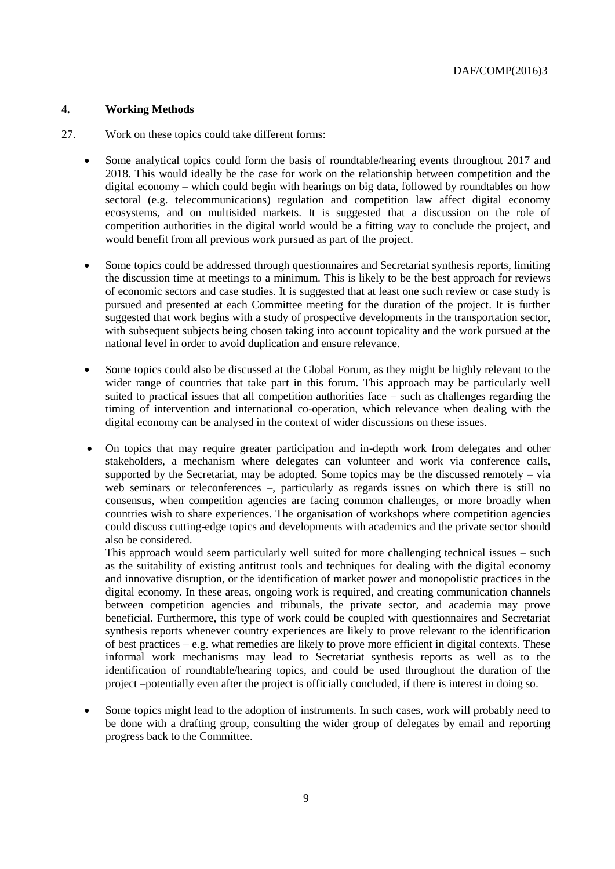### <span id="page-8-0"></span>**4. Working Methods**

- 27. Work on these topics could take different forms:
	- Some analytical topics could form the basis of roundtable/hearing events throughout 2017 and 2018. This would ideally be the case for work on the relationship between competition and the digital economy – which could begin with hearings on big data, followed by roundtables on how sectoral (e.g. telecommunications) regulation and competition law affect digital economy ecosystems, and on multisided markets. It is suggested that a discussion on the role of competition authorities in the digital world would be a fitting way to conclude the project, and would benefit from all previous work pursued as part of the project.
	- Some topics could be addressed through questionnaires and Secretariat synthesis reports, limiting the discussion time at meetings to a minimum. This is likely to be the best approach for reviews of economic sectors and case studies. It is suggested that at least one such review or case study is pursued and presented at each Committee meeting for the duration of the project. It is further suggested that work begins with a study of prospective developments in the transportation sector, with subsequent subjects being chosen taking into account topicality and the work pursued at the national level in order to avoid duplication and ensure relevance.
	- Some topics could also be discussed at the Global Forum, as they might be highly relevant to the wider range of countries that take part in this forum. This approach may be particularly well suited to practical issues that all competition authorities face – such as challenges regarding the timing of intervention and international co-operation, which relevance when dealing with the digital economy can be analysed in the context of wider discussions on these issues.
	- On topics that may require greater participation and in-depth work from delegates and other stakeholders, a mechanism where delegates can volunteer and work via conference calls, supported by the Secretariat, may be adopted. Some topics may be the discussed remotely – via web seminars or teleconferences –, particularly as regards issues on which there is still no consensus, when competition agencies are facing common challenges, or more broadly when countries wish to share experiences. The organisation of workshops where competition agencies could discuss cutting-edge topics and developments with academics and the private sector should also be considered.

This approach would seem particularly well suited for more challenging technical issues – such as the suitability of existing antitrust tools and techniques for dealing with the digital economy and innovative disruption, or the identification of market power and monopolistic practices in the digital economy. In these areas, ongoing work is required, and creating communication channels between competition agencies and tribunals, the private sector, and academia may prove beneficial. Furthermore, this type of work could be coupled with questionnaires and Secretariat synthesis reports whenever country experiences are likely to prove relevant to the identification of best practices – e.g. what remedies are likely to prove more efficient in digital contexts. These informal work mechanisms may lead to Secretariat synthesis reports as well as to the identification of roundtable/hearing topics, and could be used throughout the duration of the project –potentially even after the project is officially concluded, if there is interest in doing so.

 Some topics might lead to the adoption of instruments. In such cases, work will probably need to be done with a drafting group, consulting the wider group of delegates by email and reporting progress back to the Committee.